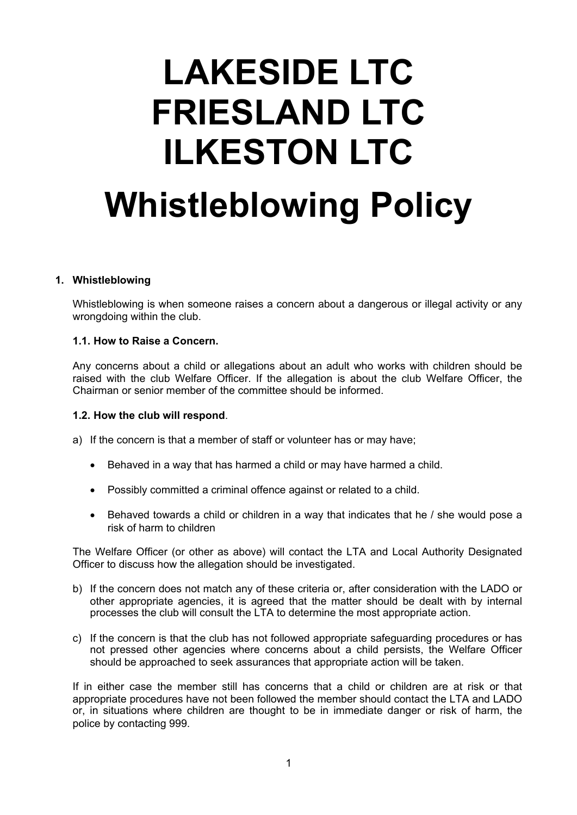# **LAKESIDE LTC FRIESLAND LTC ILKESTON LTC Whistleblowing Policy**

### **1. Whistleblowing**

Whistleblowing is when someone raises a concern about a dangerous or illegal activity or any wrongdoing within the club.

### **1.1. How to Raise a Concern.**

Any concerns about a child or allegations about an adult who works with children should be raised with the club Welfare Officer. If the allegation is about the club Welfare Officer, the Chairman or senior member of the committee should be informed.

#### **1.2. How the club will respond**.

- a) If the concern is that a member of staff or volunteer has or may have;
	- Behaved in a way that has harmed a child or may have harmed a child.
	- Possibly committed a criminal offence against or related to a child.
	- Behaved towards a child or children in a way that indicates that he / she would pose a risk of harm to children

The Welfare Officer (or other as above) will contact the LTA and Local Authority Designated Officer to discuss how the allegation should be investigated.

- b) If the concern does not match any of these criteria or, after consideration with the LADO or other appropriate agencies, it is agreed that the matter should be dealt with by internal processes the club will consult the LTA to determine the most appropriate action.
- c) If the concern is that the club has not followed appropriate safeguarding procedures or has not pressed other agencies where concerns about a child persists, the Welfare Officer should be approached to seek assurances that appropriate action will be taken.

If in either case the member still has concerns that a child or children are at risk or that appropriate procedures have not been followed the member should contact the LTA and LADO or, in situations where children are thought to be in immediate danger or risk of harm, the police by contacting 999.